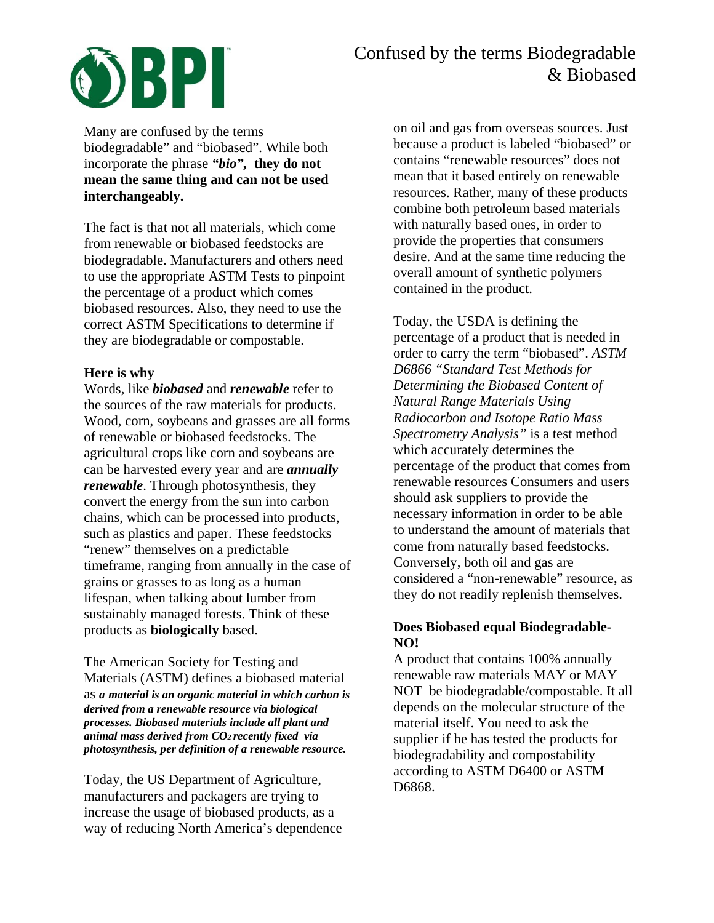

# Confused by the terms Biodegradable & Biobased

Many are confused by the terms biodegradable" and "biobased". While both incorporate the phrase *"bio",* **they do not mean the same thing and can not be used interchangeably.**

The fact is that not all materials, which come from renewable or biobased feedstocks are biodegradable. Manufacturers and others need to use the appropriate ASTM Tests to pinpoint the percentage of a product which comes biobased resources. Also, they need to use the correct ASTM Specifications to determine if they are biodegradable or compostable.

## **Here is why**

Words, like *biobased* and *renewable* refer to the sources of the raw materials for products. Wood, corn, soybeans and grasses are all forms of renewable or biobased feedstocks. The agricultural crops like corn and soybeans are can be harvested every year and are *annually renewable*. Through photosynthesis, they convert the energy from the sun into carbon chains, which can be processed into products, such as plastics and paper. These feedstocks "renew" themselves on a predictable timeframe, ranging from annually in the case of grains or grasses to as long as a human lifespan, when talking about lumber from sustainably managed forests. Think of these products as **biologically** based.

The American Society for Testing and Materials (ASTM) defines a biobased material as *a material is an organic material in which carbon is derived from a renewable resource via biological processes. Biobased materials include all plant and animal mass derived from CO2 recently fixed via photosynthesis, per definition of a renewable resource.*

Today, the US Department of Agriculture, manufacturers and packagers are trying to increase the usage of biobased products, as a way of reducing North America's dependence on oil and gas from overseas sources. Just because a product is labeled "biobased" or contains "renewable resources" does not mean that it based entirely on renewable resources. Rather, many of these products combine both petroleum based materials with naturally based ones, in order to provide the properties that consumers desire. And at the same time reducing the overall amount of synthetic polymers contained in the product.

Today, the USDA is defining the percentage of a product that is needed in order to carry the term "biobased". *ASTM D6866 "Standard Test Methods for Determining the Biobased Content of Natural Range Materials Using Radiocarbon and Isotope Ratio Mass Spectrometry Analysis"* is a test method which accurately determines the percentage of the product that comes from renewable resources Consumers and users should ask suppliers to provide the necessary information in order to be able to understand the amount of materials that come from naturally based feedstocks. Conversely, both oil and gas are considered a "non-renewable" resource, as they do not readily replenish themselves.

# **Does Biobased equal Biodegradable-NO!**

A product that contains 100% annually renewable raw materials MAY or MAY NOT be biodegradable/compostable. It all depends on the molecular structure of the material itself. You need to ask the supplier if he has tested the products for biodegradability and compostability according to ASTM D6400 or ASTM D6868.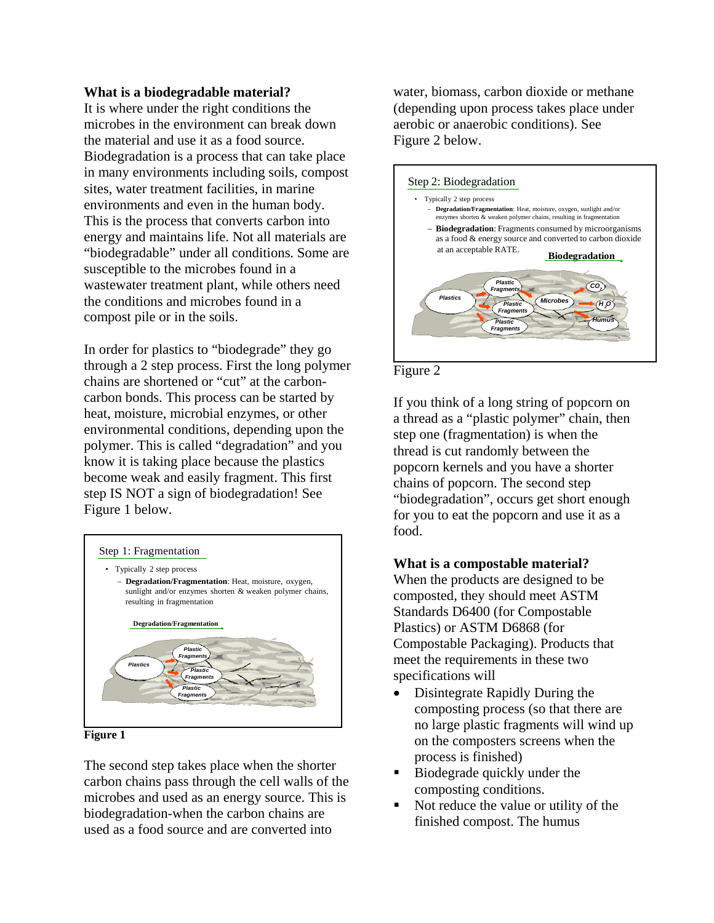#### **What is a biodegradable material?**

It is where under the right conditions the microbes in the environment can break down the material and use it as a food source. Biodegradation is a process that can take place in many environments including soils, compost sites, water treatment facilities, in marine environments and even in the human body. This is the process that converts carbon into energy and maintains life. Not all materials are "biodegradable" under all conditions. Some are susceptible to the microbes found in a wastewater treatment plant, while others need the conditions and microbes found in a compost pile or in the soils.

In order for plastics to "biodegrade" they go through a 2 step process. First the long polymer chains are shortened or "cut" at the carboncarbon bonds. This process can be started by heat, moisture, microbial enzymes, or other environmental conditions, depending upon the polymer. This is called "degradation" and you know it is taking place because the plastics become weak and easily fragment. This first step IS NOT a sign of biodegradation! See Figure 1 below.



**Figure 1**

The second step takes place when the shorter carbon chains pass through the cell walls of the microbes and used as an energy source. This is biodegradation-when the carbon chains are used as a food source and are converted into

water, biomass, carbon dioxide or methane (depending upon process takes place under aerobic or anaerobic conditions). See Figure 2 below.





If you think of a long string of popcorn on a thread as a "plastic polymer" chain, then step one (fragmentation) is when the thread is cut randomly between the popcorn kernels and you have a shorter chains of popcorn. The second step "biodegradation", occurs get short enough for you to eat the popcorn and use it as a food.

# **What is a compostable material?**

When the products are designed to be composted, they should meet ASTM Standards D6400 (for Compostable Plastics) or ASTM D6868 (for Compostable Packaging). Products that meet the requirements in these two specifications will

- Disintegrate Rapidly During the composting process (so that there are no large plastic fragments will wind up on the composters screens when the process is finished)
- Biodegrade quickly under the composting conditions.
- Not reduce the value or utility of the finished compost. The humus